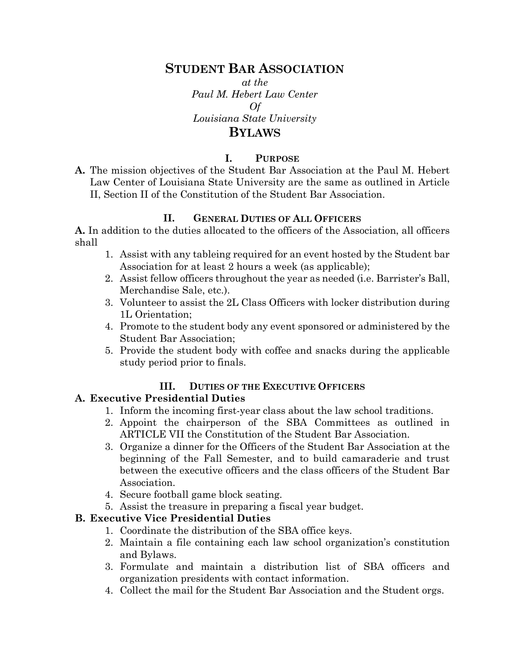## **STUDENT BAR ASSOCIATION**

*at the Paul M. Hebert Law Center Of Louisiana State University*

# **BYLAWS**

#### **I. PURPOSE**

**A.** The mission objectives of the Student Bar Association at the Paul M. Hebert Law Center of Louisiana State University are the same as outlined in Article II, Section II of the Constitution of the Student Bar Association.

#### **II. GENERAL DUTIES OF ALL OFFICERS**

**A.** In addition to the duties allocated to the officers of the Association, all officers shall

- 1. Assist with any tableing required for an event hosted by the Student bar Association for at least 2 hours a week (as applicable);
- 2. Assist fellow officers throughout the year as needed (i.e. Barrister's Ball, Merchandise Sale, etc.).
- 3. Volunteer to assist the 2L Class Officers with locker distribution during 1L Orientation;
- 4. Promote to the student body any event sponsored or administered by the Student Bar Association;
- 5. Provide the student body with coffee and snacks during the applicable study period prior to finals.

#### **III. DUTIES OF THE EXECUTIVE OFFICERS**

#### **A. Executive Presidential Duties**

- 1. Inform the incoming first-year class about the law school traditions.
- 2. Appoint the chairperson of the SBA Committees as outlined in ARTICLE VII the Constitution of the Student Bar Association.
- 3. Organize a dinner for the Officers of the Student Bar Association at the beginning of the Fall Semester, and to build camaraderie and trust between the executive officers and the class officers of the Student Bar Association.
- 4. Secure football game block seating.
- 5. Assist the treasure in preparing a fiscal year budget.

#### **B. Executive Vice Presidential Duties**

- 1. Coordinate the distribution of the SBA office keys.
- 2. Maintain a file containing each law school organization's constitution and Bylaws.
- 3. Formulate and maintain a distribution list of SBA officers and organization presidents with contact information.
- 4. Collect the mail for the Student Bar Association and the Student orgs.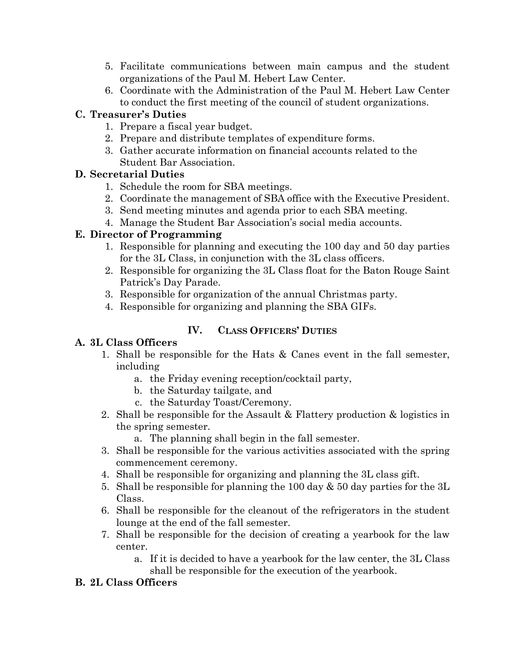- 5. Facilitate communications between main campus and the student organizations of the Paul M. Hebert Law Center.
- 6. Coordinate with the Administration of the Paul M. Hebert Law Center to conduct the first meeting of the council of student organizations.

#### **C. Treasurer's Duties**

- 1. Prepare a fiscal year budget.
- 2. Prepare and distribute templates of expenditure forms.
- 3. Gather accurate information on financial accounts related to the Student Bar Association.

## **D. Secretarial Duties**

- 1. Schedule the room for SBA meetings.
- 2. Coordinate the management of SBA office with the Executive President.
- 3. Send meeting minutes and agenda prior to each SBA meeting.
- 4. Manage the Student Bar Association's social media accounts.

## **E. Director of Programming**

- 1. Responsible for planning and executing the 100 day and 50 day parties for the 3L Class, in conjunction with the 3L class officers.
- 2. Responsible for organizing the 3L Class float for the Baton Rouge Saint Patrick's Day Parade.
- 3. Responsible for organization of the annual Christmas party.
- 4. Responsible for organizing and planning the SBA GIFs.

## **IV. CLASS OFFICERS' DUTIES**

## **A. 3L Class Officers**

- 1. Shall be responsible for the Hats & Canes event in the fall semester, including
	- a. the Friday evening reception/cocktail party,
	- b. the Saturday tailgate, and
	- c. the Saturday Toast/Ceremony.
- 2. Shall be responsible for the Assault & Flattery production & logistics in the spring semester.

a. The planning shall begin in the fall semester.

- 3. Shall be responsible for the various activities associated with the spring commencement ceremony.
- 4. Shall be responsible for organizing and planning the 3L class gift.
- 5. Shall be responsible for planning the 100 day  $\&$  50 day parties for the 3L Class.
- 6. Shall be responsible for the cleanout of the refrigerators in the student lounge at the end of the fall semester.
- 7. Shall be responsible for the decision of creating a yearbook for the law center.
	- a. If it is decided to have a yearbook for the law center, the 3L Class shall be responsible for the execution of the yearbook.

## **B. 2L Class Officers**